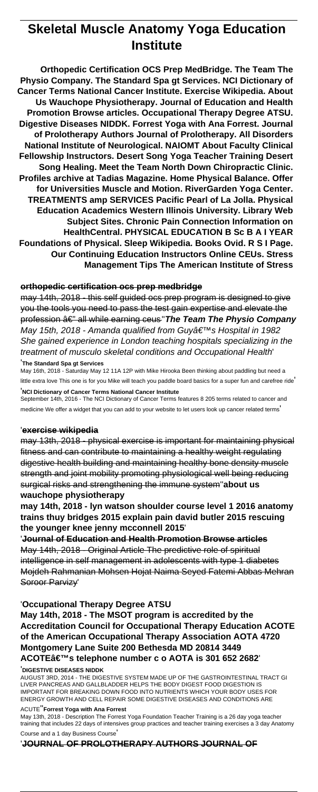# **Skeletal Muscle Anatomy Yoga Education Institute**

**Orthopedic Certification OCS Prep MedBridge. The Team The Physio Company. The Standard Spa gt Services. NCI Dictionary of Cancer Terms National Cancer Institute. Exercise Wikipedia. About Us Wauchope Physiotherapy. Journal of Education and Health Promotion Browse articles. Occupational Therapy Degree ATSU. Digestive Diseases NIDDK. Forrest Yoga with Ana Forrest. Journal of Prolotherapy Authors Journal of Prolotherapy. All Disorders National Institute of Neurological. NAIOMT About Faculty Clinical Fellowship Instructors. Desert Song Yoga Teacher Training Desert Song Healing. Meet the Team North Down Chiropractic Clinic. Profiles archive at Tadias Magazine. Home Physical Balance. Offer for Universities Muscle and Motion. RiverGarden Yoga Center. TREATMENTS amp SERVICES Pacific Pearl of La Jolla. Physical Education Academics Western Illinois University. Library Web Subject Sites. Chronic Pain Connection Information on HealthCentral. PHYSICAL EDUCATION B Sc B A I YEAR Foundations of Physical. Sleep Wikipedia. Books Ovid. R S I Page. Our Continuing Education Instructors Online CEUs. Stress Management Tips The American Institute of Stress**

#### **orthopedic certification ocs prep medbridge**

may 14th, 2018 - this self guided ocs prep program is designed to give you the tools you need to pass the test gain expertise and elevate the profession â€" all while earning ceus" The Team The Physio Company May 15th, 2018 - Amanda qualified from Guy's Hospital in 1982 She gained experience in London teaching hospitals specializing in the treatment of musculo skeletal conditions and Occupational Health' '**The Standard Spa gt Services**

May 16th, 2018 - Saturday May 12 11A 12P with Mike Hirooka Been thinking about paddling but need a little extra love This one is for you Mike will teach you paddle board basics for a super fun and carefree ride' '**NCI Dictionary of Cancer Terms National Cancer Institute**

September 14th, 2016 - The NCI Dictionary of Cancer Terms features 8 205 terms related to cancer and medicine We offer a widget that you can add to your website to let users look up cancer related terms'

## '**exercise wikipedia**

may 13th, 2018 - physical exercise is important for maintaining physical fitness and can contribute to maintaining a healthy weight regulating digestive health building and maintaining healthy bone density muscle strength and joint mobility promoting physiological well being reducing surgical risks and strengthening the immune system''**about us wauchope physiotherapy**

**may 14th, 2018 - lyn watson shoulder course level 1 2016 anatomy trains thuy bridges 2015 explain pain david butler 2015 rescuing the younger knee jenny mcconnell 2015**'

'**Journal of Education and Health Promotion Browse articles** May 14th, 2018 - Original Article The predictive role of spiritual intelligence in self management in adolescents with type 1 diabetes Mojdeh Rahmanian Mohsen Hojat Naima Seyed Fatemi Abbas Mehran Soroor Parvizy'

#### '**Occupational Therapy Degree ATSU**

**May 14th, 2018 - The MSOT program is accredited by the Accreditation Council for Occupational Therapy Education ACOTE of the American Occupational Therapy Association AOTA 4720 Montgomery Lane Suite 200 Bethesda MD 20814 3449** ACOTE's telephone number c o AOTA is 301 652 2682

#### '**DIGESTIVE DISEASES NIDDK**

AUGUST 3RD, 2014 - THE DIGESTIVE SYSTEM MADE UP OF THE GASTROINTESTINAL TRACT GI LIVER PANCREAS AND GALLBLADDER HELPS THE BODY DIGEST FOOD DIGESTION IS IMPORTANT FOR BREAKING DOWN FOOD INTO NUTRIENTS WHICH YOUR BODY USES FOR ENERGY GROWTH AND CELL REPAIR SOME DIGESTIVE DISEASES AND CONDITIONS ARE

#### ACUTE''**Forrest Yoga with Ana Forrest**

May 13th, 2018 - Description The Forrest Yoga Foundation Teacher Training is a 26 day yoga teacher training that includes 22 days of intensives group practices and teacher training exercises a 3 day Anatomy Course and a 1 day Business Course'

'**JOURNAL OF PROLOTHERAPY AUTHORS JOURNAL OF**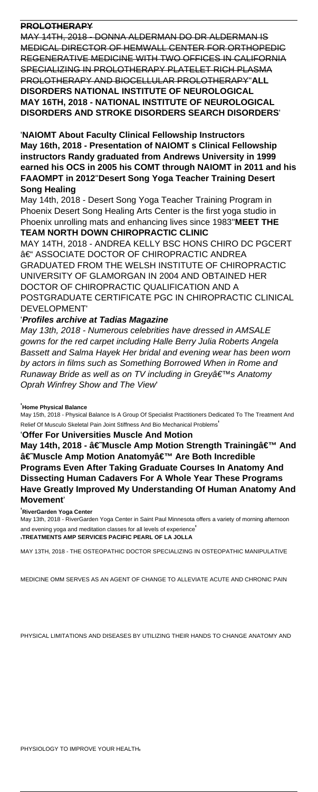# **PROLOTHERAPY**

MAY 14TH, 2018 - DONNA ALDERMAN DO DR ALDERMAN IS MEDICAL DIRECTOR OF HEMWALL CENTER FOR ORTHOPEDIC REGENERATIVE MEDICINE WITH TWO OFFICES IN CALIFORNIA SPECIALIZING IN PROLOTHERAPY PLATELET RICH PLASMA PROLOTHERAPY AND BIOCELLULAR PROLOTHERAPY''**ALL DISORDERS NATIONAL INSTITUTE OF NEUROLOGICAL MAY 16TH, 2018 - NATIONAL INSTITUTE OF NEUROLOGICAL DISORDERS AND STROKE DISORDERS SEARCH DISORDERS**'

'**NAIOMT About Faculty Clinical Fellowship Instructors May 16th, 2018 - Presentation of NAIOMT s Clinical Fellowship instructors Randy graduated from Andrews University in 1999 earned his OCS in 2005 his COMT through NAIOMT in 2011 and his FAAOMPT in 2012**''**Desert Song Yoga Teacher Training Desert Song Healing**

May 14th, 2018 - Desert Song Yoga Teacher Training Program in Phoenix Desert Song Healing Arts Center is the first yoga studio in Phoenix unrolling mats and enhancing lives since 1983''**MEET THE TEAM NORTH DOWN CHIROPRACTIC CLINIC**

MAY 14TH, 2018 - ANDREA KELLY BSC HONS CHIRO DC PGCERT – ASSOCIATE DOCTOR OF CHIROPRACTIC ANDREA GRADUATED FROM THE WELSH INSTITUTE OF CHIROPRACTIC UNIVERSITY OF GLAMORGAN IN 2004 AND OBTAINED HER DOCTOR OF CHIROPRACTIC QUALIFICATION AND A POSTGRADUATE CERTIFICATE PGC IN CHIROPRACTIC CLINICAL DEVELOPMENT'

# '**Profiles archive at Tadias Magazine**

May 13th, 2018 - Numerous celebrities have dressed in AMSALE gowns for the red carpet including Halle Berry Julia Roberts Angela Bassett and Salma Hayek Her bridal and evening wear has been worn by actors in films such as Something Borrowed When in Rome and Runaway Bride as well as on TV including in Greyâ€<sup>™</sup>s Anatomy Oprah Winfrey Show and The View'

## '**Home Physical Balance**

May 15th, 2018 - Physical Balance Is A Group Of Specialist Practitioners Dedicated To The Treatment And Relief Of Musculo Skeletal Pain Joint Stiffness And Bio Mechanical Problems'

## '**Offer For Universities Muscle And Motion**

May 14th, 2018 - †Muscle Amp Motion Strength Trainingâ€<sup>™</sup> And †Muscle Amp Motion Anatomyâ€<sup>™</sup> Are Both Incredible **Programs Even After Taking Graduate Courses In Anatomy And Dissecting Human Cadavers For A Whole Year These Programs Have Greatly Improved My Understanding Of Human Anatomy And Movement**'

#### '**RiverGarden Yoga Center**

May 13th, 2018 - RiverGarden Yoga Center in Saint Paul Minnesota offers a variety of morning afternoon and evening yoga and meditation classes for all levels of experience' '**TREATMENTS AMP SERVICES PACIFIC PEARL OF LA JOLLA**

MAY 13TH, 2018 - THE OSTEOPATHIC DOCTOR SPECIALIZING IN OSTEOPATHIC MANIPULATIVE

MEDICINE OMM SERVES AS AN AGENT OF CHANGE TO ALLEVIATE ACUTE AND CHRONIC PAIN

PHYSICAL LIMITATIONS AND DISEASES BY UTILIZING THEIR HANDS TO CHANGE ANATOMY AND